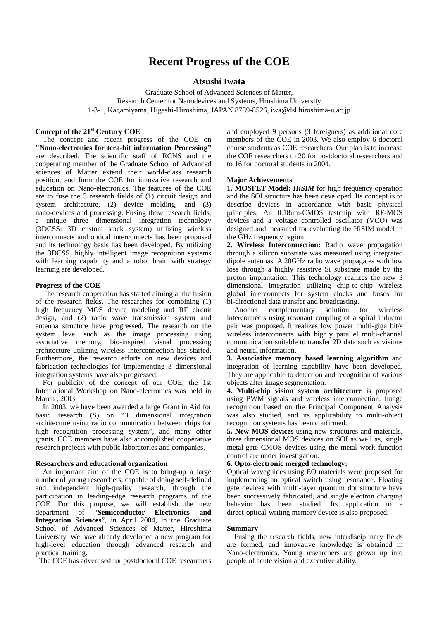# **Recent Progress of the COE**

# **Atsushi Iwata**

Graduate School of Advanced Sciences of Matter, Research Center for Nanodevices and Systems, Hroshima University 1-3-1, Kagamiyama, Higashi-Hiroshima, JAPAN 8739-8526, iwa@dsl.hiroshima-u.ac.jp

## **Concept of the 21st Century COE**

The concept and recent progress of the COE on **"Nano-electronics for tera-bit information Processing"** are described. The scientific staff of RCNS and the cooperating member of the Graduate School of Advanced sciences of Matter extend their world-class research position, and form the COE for innovative research and education on Nano-electronics. The features of the COE are to fuse the 3 research fields of (1) circuit design and system architecture, (2) device molding, and (3) nano-devices and processing. Fusing these research fields, a unique three dimensional integration technology (3DCSS: 3D custom stack system) utilizing wireless interconnects and optical interconnects has been proposed and its technology basis has been developed. By utilizing the 3DCSS, highly intelligent image recognition systems with learning capability and a robot brain with strategy learning are developed.

#### **Progress of the COE**

The research cooperation has started aiming at the fusion of the research fields. The researches for combining (1) high frequency MOS device modeling and RF circuit design, and (2) radio wave transmission system and antenna structure have progressed. The research on the system level such as the image processing using associative memory, bio-inspired visual processing architecture utilizing wireless interconnection has started. Furthermore, the research efforts on new devices and fabrication technologies for implementing 3 dimensional integration systems have also progressed.

For publicity of the concept of our COE, the 1st International Workshop on Nano-electronics was held in March , 2003.

In 2003, we have been awarded a large Grant in Aid for basic research (S) on "3 dimensional integration architecture using radio communication between chips for high recognition processing system", and many other grants. COE members have also accomplished cooperative research projects with public laboratories and companies.

## **Researchers and educational organization**

An important aim of the COE is to bring-up a large number of young researchers, capable of doing self-defined and independent high-quality research, through the participation in leading-edge research programs of the COE. For this purpose, we will establish the new department of "**Semiconductor Electronics and Integration Sciences**", in April 2004, in the Graduate School of Advanced Sciences of Matter, Hiroshima University. We have already developed a new program for high-level education through advanced research and practical training.

The COE has advertised for postdoctoral COE researchers

and employed 9 persons (3 foreigners) as additional core members of the COE in 2003. We also employ 6 doctoral course students as COE researchers. Our plan is to increase the COE researchers to 20 for postdoctoral researchers and to 16 for doctoral students in 2004.

## **Major Achievements**

**1. MOSFET Model:** *HiSIM* for high frequency operation and the SOI structure has been developed. Its concept is to describe devices in accordance with basic physical principles. An 0.18um-CMOS testchip with RF-MOS devices and a voltage controlled oscillator (VCO) was designed and measured for evaluating the HiSIM model in the GHz frequency region.

**2. Wireless Interconnection:** Radio wave propagation through a silicon substrate was measured using integrated dipole antennas. A 20GHz radio wave propagates with low loss through a highly resistive Si substrate made by the proton implantation. This technology realizes the new 3 dimensional integration utilizing chip-to-chip wireless global interconnects for system clocks and buses for bi-directional data transfer and broadcasting.

Another complementary solution for wireless interconnects using resonant coupling of a spiral inductor pair was proposed. It realizes low power multi-giga bit/s wireless interconnects with highly parallel multi-channel communication suitable to transfer 2D data such as visions and neural information.

**3. Associative memory based learning algorithm** and integration of learning capability have been developed. They are applicable to detection and recognition of various objects after image segmentation.

**4. Multi-chip vision system architecture** is proposed using PWM signals and wireless interconnection. Image recognition based on the Principal Component Analysis was also studied, and its applicability to multi-object recognition systems has been confirmed.

**5. New MOS devices** using new structures and materials, three dimensional MOS devices on SOI as well as, single metal-gate CMOS devices using the metal work function control are under investigation.

## **6. Opto-electronic merged technology:**

Optical waveguides using EO materials were proposed for implementing an optical switch using resonance. Floating gate devices with multi-layer quantum dot structure have been successively fabricated, and single electron charging behavior has been studied. Its application to a direct-optical-writing memory device is also proposed.

#### **Summary**

Fusing the research fields, new interdisciplinary fields are formed, and innovative knowledge is obtained in Nano-electronics. Young researchers are grown up into people of acute vision and executive ability.